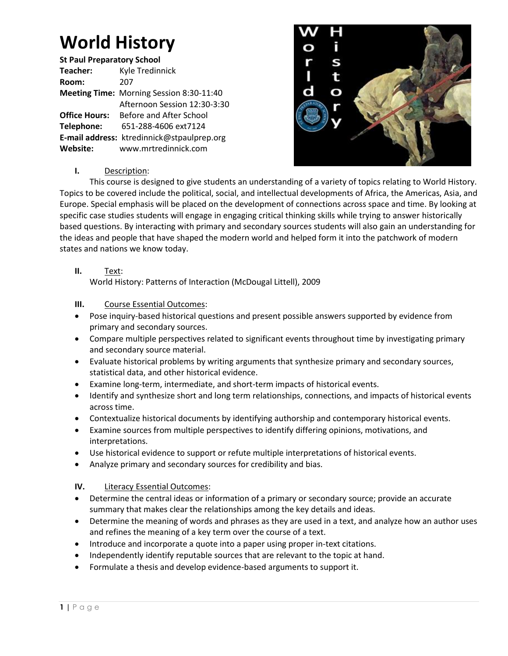# **World History**

**St Paul Preparatory School Teacher:** Kyle Tredinnick **Room:** 207 **Meeting Time:** Morning Session 8:30-11:40 Afternoon Session 12:30-3:30 **Office Hours:** Before and After School **Telephone:** 651-288-4606 ext7124 **E-mail address:** ktredinnick@stpaulprep.org **Website:** www.mrtredinnick.com



# **I.** Description:

This course is designed to give students an understanding of a variety of topics relating to World History. Topics to be covered include the political, social, and intellectual developments of Africa, the Americas, Asia, and Europe. Special emphasis will be placed on the development of connections across space and time. By looking at specific case studies students will engage in engaging critical thinking skills while trying to answer historically based questions. By interacting with primary and secondary sources students will also gain an understanding for the ideas and people that have shaped the modern world and helped form it into the patchwork of modern states and nations we know today.

**II.** Text:

World History: Patterns of Interaction (McDougal Littell), 2009

## **III.** Course Essential Outcomes:

- Pose inquiry-based historical questions and present possible answers supported by evidence from primary and secondary sources.
- Compare multiple perspectives related to significant events throughout time by investigating primary and secondary source material.
- Evaluate historical problems by writing arguments that synthesize primary and secondary sources, statistical data, and other historical evidence.
- Examine long-term, intermediate, and short-term impacts of historical events.
- Identify and synthesize short and long term relationships, connections, and impacts of historical events across time.
- Contextualize historical documents by identifying authorship and contemporary historical events.
- Examine sources from multiple perspectives to identify differing opinions, motivations, and interpretations.
- Use historical evidence to support or refute multiple interpretations of historical events.
- Analyze primary and secondary sources for credibility and bias.

## **IV.** Literacy Essential Outcomes:

- Determine the central ideas or information of a primary or secondary source; provide an accurate summary that makes clear the relationships among the key details and ideas.
- Determine the meaning of words and phrases as they are used in a text, and analyze how an author uses and refines the meaning of a key term over the course of a text.
- Introduce and incorporate a quote into a paper using proper in-text citations.
- Independently identify reputable sources that are relevant to the topic at hand.
- Formulate a thesis and develop evidence-based arguments to support it.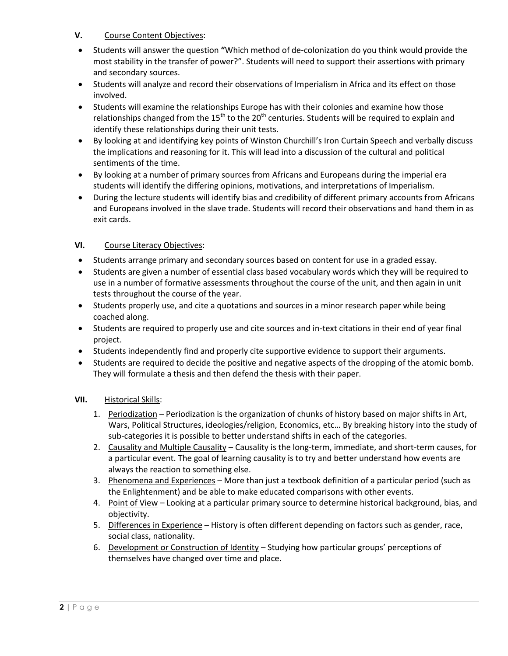## **V.** Course Content Objectives:

- Students will answer the question **"**Which method of de-colonization do you think would provide the most stability in the transfer of power?". Students will need to support their assertions with primary and secondary sources.
- Students will analyze and record their observations of Imperialism in Africa and its effect on those involved.
- Students will examine the relationships Europe has with their colonies and examine how those relationships changed from the  $15<sup>th</sup>$  to the 20<sup>th</sup> centuries. Students will be required to explain and identify these relationships during their unit tests.
- By looking at and identifying key points of Winston Churchill's Iron Curtain Speech and verbally discuss the implications and reasoning for it. This will lead into a discussion of the cultural and political sentiments of the time.
- By looking at a number of primary sources from Africans and Europeans during the imperial era students will identify the differing opinions, motivations, and interpretations of Imperialism.
- During the lecture students will identify bias and credibility of different primary accounts from Africans and Europeans involved in the slave trade. Students will record their observations and hand them in as exit cards.

# **VI.** Course Literacy Objectives:

- Students arrange primary and secondary sources based on content for use in a graded essay.
- Students are given a number of essential class based vocabulary words which they will be required to use in a number of formative assessments throughout the course of the unit, and then again in unit tests throughout the course of the year.
- Students properly use, and cite a quotations and sources in a minor research paper while being coached along.
- Students are required to properly use and cite sources and in-text citations in their end of year final project.
- Students independently find and properly cite supportive evidence to support their arguments.
- Students are required to decide the positive and negative aspects of the dropping of the atomic bomb. They will formulate a thesis and then defend the thesis with their paper.

## **VII.** Historical Skills:

- 1. Periodization Periodization is the organization of chunks of history based on major shifts in Art, Wars, Political Structures, ideologies/religion, Economics, etc… By breaking history into the study of sub-categories it is possible to better understand shifts in each of the categories.
- 2. Causality and Multiple Causality Causality is the long-term, immediate, and short-term causes, for a particular event. The goal of learning causality is to try and better understand how events are always the reaction to something else.
- 3. Phenomena and Experiences More than just a textbook definition of a particular period (such as the Enlightenment) and be able to make educated comparisons with other events.
- 4. Point of View Looking at a particular primary source to determine historical background, bias, and objectivity.
- 5. Differences in Experience History is often different depending on factors such as gender, race, social class, nationality.
- 6. Development or Construction of Identity Studying how particular groups' perceptions of themselves have changed over time and place.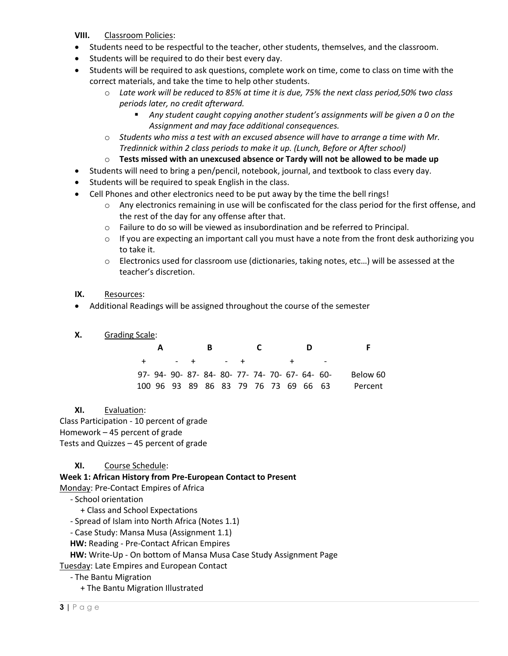#### **VIII.** Classroom Policies:

- Students need to be respectful to the teacher, other students, themselves, and the classroom.
- Students will be required to do their best every day.
- Students will be required to ask questions, complete work on time, come to class on time with the correct materials, and take the time to help other students.
	- o *Late work will be reduced to 85% at time it is due, 75% the next class period,50% two class periods later, no credit afterward.*
		- *Any student caught copying another student's assignments will be given a 0 on the Assignment and may face additional consequences.*
	- o *Students who miss a test with an excused absence will have to arrange a time with Mr. Tredinnick within 2 class periods to make it up. (Lunch, Before or After school)*
	- o **Tests missed with an unexcused absence or Tardy will not be allowed to be made up**
- Students will need to bring a pen/pencil, notebook, journal, and textbook to class every day.
- Students will be required to speak English in the class.
- Cell Phones and other electronics need to be put away by the time the bell rings!
	- o Any electronics remaining in use will be confiscated for the class period for the first offense, and the rest of the day for any offense after that.
	- o Failure to do so will be viewed as insubordination and be referred to Principal.
	- $\circ$  If you are expecting an important call you must have a note from the front desk authorizing you to take it.
	- o Electronics used for classroom use (dictionaries, taking notes, etc…) will be assessed at the teacher's discretion.

#### **IX.** Resources:

Additional Readings will be assigned throughout the course of the semester

#### **X.** Grading Scale:

|                                                 |  | в |               |  | D |          |
|-------------------------------------------------|--|---|---------------|--|---|----------|
|                                                 |  |   | $+$ $ +$ $ +$ |  |   |          |
| 97- 94- 90- 87- 84- 80- 77- 74- 70- 67- 64- 60- |  |   |               |  |   | Below 60 |
| 100 96 93 89 86 83 79 76 73 69 66 63            |  |   |               |  |   | Percent  |

**XI.** Evaluation: Class Participation - 10 percent of grade Homework – 45 percent of grade Tests and Quizzes – 45 percent of grade

## **XI.** Course Schedule:

**Week 1: African History from Pre-European Contact to Present**

Monday: Pre-Contact Empires of Africa

- School orientation

+ Class and School Expectations

- Spread of Islam into North Africa (Notes 1.1)

- Case Study: Mansa Musa (Assignment 1.1)

**HW:** Reading - Pre-Contact African Empires

**HW:** Write-Up - On bottom of Mansa Musa Case Study Assignment Page

Tuesday: Late Empires and European Contact

- The Bantu Migration

+ The Bantu Migration Illustrated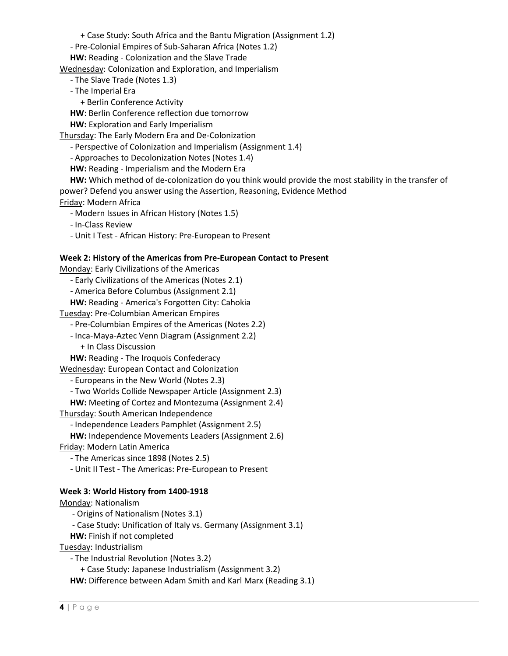+ Case Study: South Africa and the Bantu Migration (Assignment 1.2)

- Pre-Colonial Empires of Sub-Saharan Africa (Notes 1.2)

**HW:** Reading - Colonization and the Slave Trade

Wednesday: Colonization and Exploration, and Imperialism

- The Slave Trade (Notes 1.3)

- The Imperial Era

+ Berlin Conference Activity

**HW**: Berlin Conference reflection due tomorrow

**HW:** Exploration and Early Imperialism

Thursday: The Early Modern Era and De-Colonization

- Perspective of Colonization and Imperialism (Assignment 1.4)

- Approaches to Decolonization Notes (Notes 1.4)

**HW:** Reading - Imperialism and the Modern Era

**HW:** Which method of de-colonization do you think would provide the most stability in the transfer of power? Defend you answer using the Assertion, Reasoning, Evidence Method

Friday: Modern Africa

- Modern Issues in African History (Notes 1.5)

- In-Class Review

- Unit I Test - African History: Pre-European to Present

#### **Week 2: History of the Americas from Pre-European Contact to Present**

Monday: Early Civilizations of the Americas

- Early Civilizations of the Americas (Notes 2.1)

- America Before Columbus (Assignment 2.1)

**HW:** Reading - America's Forgotten City: Cahokia

Tuesday: Pre-Columbian American Empires

- Pre-Columbian Empires of the Americas (Notes 2.2)

- Inca-Maya-Aztec Venn Diagram (Assignment 2.2)

+ In Class Discussion

**HW:** Reading - The Iroquois Confederacy

Wednesday: European Contact and Colonization

- Europeans in the New World (Notes 2.3)

- Two Worlds Collide Newspaper Article (Assignment 2.3)

**HW:** Meeting of Cortez and Montezuma (Assignment 2.4)

Thursday: South American Independence

- Independence Leaders Pamphlet (Assignment 2.5)

**HW:** Independence Movements Leaders (Assignment 2.6)

Friday: Modern Latin America

- The Americas since 1898 (Notes 2.5)

- Unit II Test - The Americas: Pre-European to Present

## **Week 3: World History from 1400-1918**

Monday: Nationalism

- Origins of Nationalism (Notes 3.1)

- Case Study: Unification of Italy vs. Germany (Assignment 3.1)

**HW:** Finish if not completed

Tuesday: Industrialism

- The Industrial Revolution (Notes 3.2)

+ Case Study: Japanese Industrialism (Assignment 3.2)

**HW:** Difference between Adam Smith and Karl Marx (Reading 3.1)